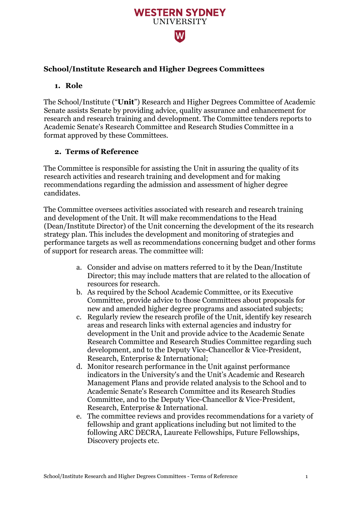### **School/Institute Research and Higher Degrees Committees**

#### **1. Role**

The School/Institute ("**Unit**") Research and Higher Degrees Committee of Academic Senate assists Senate by providing advice, quality assurance and enhancement for research and research training and development. The Committee tenders reports to Academic Senate's Research Committee and Research Studies Committee in a format approved by these Committees.

**WESTERN SYDNEY UNIVERSITY** 

W

#### **2. Terms of Reference**

The Committee is responsible for assisting the Unit in assuring the quality of its research activities and research training and development and for making recommendations regarding the admission and assessment of higher degree candidates.

The Committee oversees activities associated with research and research training and development of the Unit. It will make recommendations to the Head (Dean/Institute Director) of the Unit concerning the development of the its research strategy plan. This includes the development and monitoring of strategies and performance targets as well as recommendations concerning budget and other forms of support for research areas. The committee will:

- a. Consider and advise on matters referred to it by the Dean/Institute Director; this may include matters that are related to the allocation of resources for research.
- b. As required by the School Academic Committee, or its Executive Committee, provide advice to those Committees about proposals for new and amended higher degree programs and associated subjects;
- c. Regularly review the research profile of the Unit, identify key research areas and research links with external agencies and industry for development in the Unit and provide advice to the Academic Senate Research Committee and Research Studies Committee regarding such development, and to the Deputy Vice-Chancellor & Vice-President, Research, Enterprise & International;
- d. Monitor research performance in the Unit against performance indicators in the University's and the Unit's Academic and Research Management Plans and provide related analysis to the School and to Academic Senate's Research Committee and its Research Studies Committee, and to the Deputy Vice-Chancellor & Vice-President, Research, Enterprise & International.
- e. The committee reviews and provides recommendations for a variety of fellowship and grant applications including but not limited to the following ARC DECRA, Laureate Fellowships, Future Fellowships, Discovery projects etc.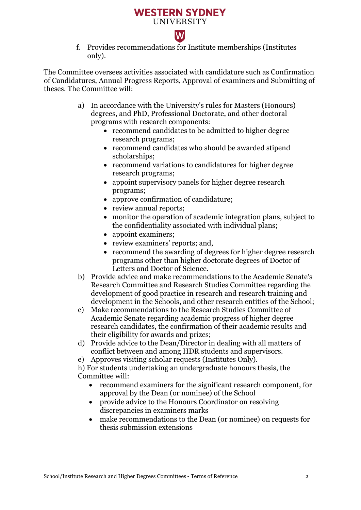# **WESTERN SYDNEY UNIVERSITY**

 $\overline{\mathsf{W}}$ 



The Committee oversees activities associated with candidature such as Confirmation of Candidatures, Annual Progress Reports, Approval of examiners and Submitting of theses. The Committee will:

- a) In accordance with the University's rules for Masters (Honours) degrees, and PhD, Professional Doctorate, and other doctoral programs with research components:
	- recommend candidates to be admitted to higher degree research programs;
	- recommend candidates who should be awarded stipend scholarships;
	- recommend variations to candidatures for higher degree research programs;
	- appoint supervisory panels for higher degree research programs;
	- approve confirmation of candidature:
	- review annual reports;
	- monitor the operation of academic integration plans, subject to the confidentiality associated with individual plans;
	- appoint examiners;
	- review examiners' reports; and,
	- recommend the awarding of degrees for higher degree research programs other than higher doctorate degrees of Doctor of Letters and Doctor of Science.
- b) Provide advice and make recommendations to the Academic Senate's Research Committee and Research Studies Committee regarding the development of good practice in research and research training and development in the Schools, and other research entities of the School;
- c) Make recommendations to the Research Studies Committee of Academic Senate regarding academic progress of higher degree research candidates, the confirmation of their academic results and their eligibility for awards and prizes;
- d) Provide advice to the Dean/Director in dealing with all matters of conflict between and among HDR students and supervisors.
- e) Approves visiting scholar requests (Institutes Only).

h) For students undertaking an undergraduate honours thesis, the Committee will:

- recommend examiners for the significant research component, for approval by the Dean (or nominee) of the School
- provide advice to the Honours Coordinator on resolving discrepancies in examiners marks
- make recommendations to the Dean (or nominee) on requests for thesis submission extensions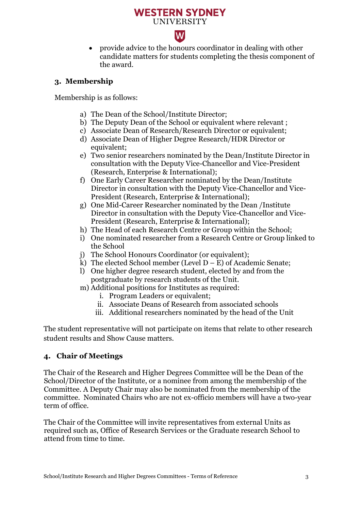## **WESTERN SYDNEY UNIVERSITY**

# $|\mathbf{W}|$

• provide advice to the honours coordinator in dealing with other candidate matters for students completing the thesis component of the award.

### **3. Membership**

Membership is as follows:

- a) The Dean of the School/Institute Director;
- b) The Deputy Dean of the School or equivalent where relevant ;
- c) Associate Dean of Research/Research Director or equivalent;
- d) Associate Dean of Higher Degree Research/HDR Director or equivalent;
- e) Two senior researchers nominated by the Dean/Institute Director in consultation with the Deputy Vice-Chancellor and Vice-President (Research, Enterprise & International);
- f) One Early Career Researcher nominated by the Dean/Institute Director in consultation with the Deputy Vice-Chancellor and Vice-President (Research, Enterprise & International);
- g) One Mid-Career Researcher nominated by the Dean /Institute Director in consultation with the Deputy Vice-Chancellor and Vice-President (Research, Enterprise & International);
- h) The Head of each Research Centre or Group within the School;
- i) One nominated researcher from a Research Centre or Group linked to the School
- j) The School Honours Coordinator (or equivalent);
- k) The elected School member (Level  $D E$ ) of Academic Senate;
- l) One higher degree research student, elected by and from the postgraduate by research students of the Unit.
- m) Additional positions for Institutes as required:
	- i. Program Leaders or equivalent;
	- ii. Associate Deans of Research from associated schools
	- iii. Additional researchers nominated by the head of the Unit

The student representative will not participate on items that relate to other research student results and Show Cause matters.

### **4. Chair of Meetings**

The Chair of the Research and Higher Degrees Committee will be the Dean of the School/Director of the Institute, or a nominee from among the membership of the Committee. A Deputy Chair may also be nominated from the membership of the committee. Nominated Chairs who are not ex-officio members will have a two-year term of office.

The Chair of the Committee will invite representatives from external Units as required such as, Office of Research Services or the Graduate research School to attend from time to time.